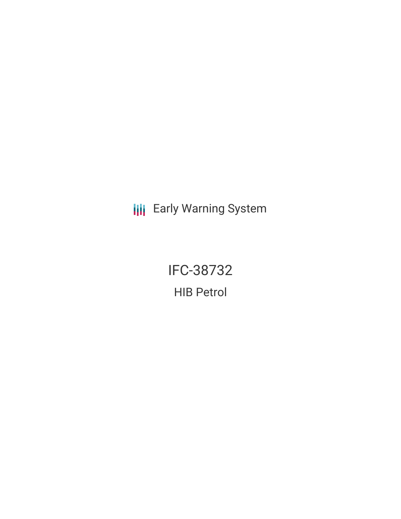**III** Early Warning System

**IFC-38732 HIB Petrol**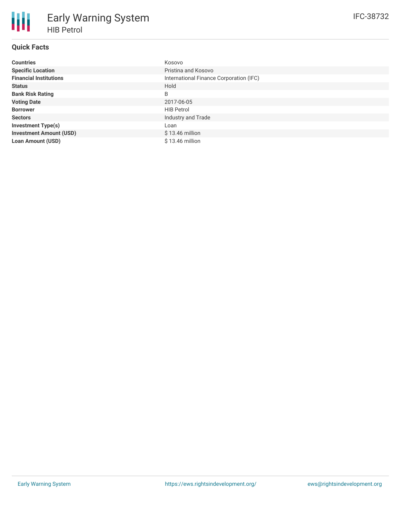# **Quick Facts**

| <b>Countries</b>               | Kosovo                                  |
|--------------------------------|-----------------------------------------|
| <b>Specific Location</b>       | Pristina and Kosovo                     |
| <b>Financial Institutions</b>  | International Finance Corporation (IFC) |
| <b>Status</b>                  | Hold                                    |
| <b>Bank Risk Rating</b>        | B                                       |
| <b>Voting Date</b>             | 2017-06-05                              |
| <b>Borrower</b>                | <b>HIB Petrol</b>                       |
| <b>Sectors</b>                 | Industry and Trade                      |
| <b>Investment Type(s)</b>      | Loan                                    |
| <b>Investment Amount (USD)</b> | $$13.46$ million                        |
| <b>Loan Amount (USD)</b>       | $$13.46$ million                        |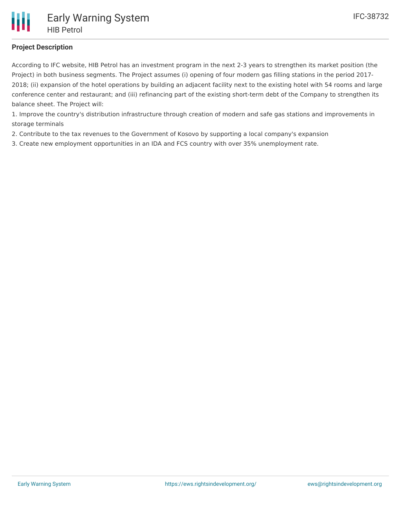## **Project Description**

According to IFC website, HIB Petrol has an investment program in the next 2-3 years to strengthen its market position (the Project) in both business segments. The Project assumes (i) opening of four modern gas filling stations in the period 2017- 2018; (ii) expansion of the hotel operations by building an adjacent facility next to the existing hotel with 54 rooms and large conference center and restaurant; and (iii) refinancing part of the existing short-term debt of the Company to strengthen its balance sheet. The Project will:

1. Improve the country's distribution infrastructure through creation of modern and safe gas stations and improvements in storage terminals

- 2. Contribute to the tax revenues to the Government of Kosovo by supporting a local company's expansion
- 3. Create new employment opportunities in an IDA and FCS country with over 35% unemployment rate.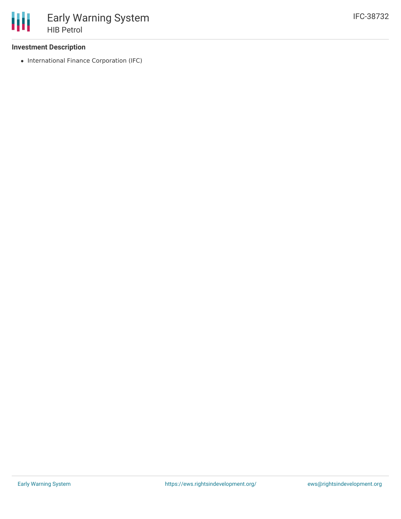### **Investment Description**

• International Finance Corporation (IFC)